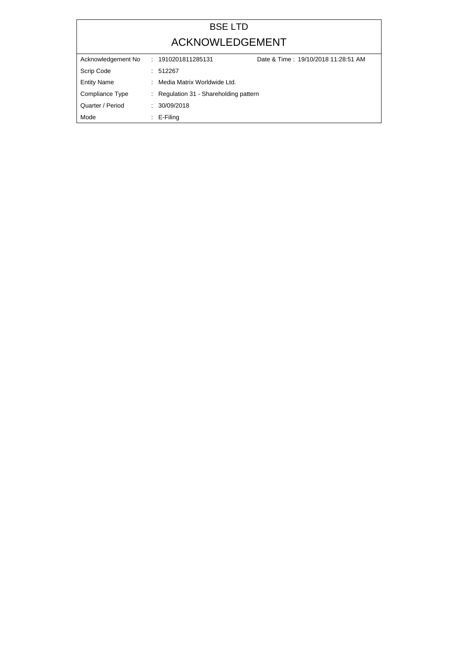## BSE LTD ACKNOWLEDGEMENT

| Acknowledgement No | Date & Time: 19/10/2018 11:28:51 AM<br>: 1910201811285131 |  |
|--------------------|-----------------------------------------------------------|--|
| Scrip Code         | : 512267                                                  |  |
| <b>Entity Name</b> | : Media Matrix Worldwide Ltd.                             |  |
| Compliance Type    | : Regulation 31 - Shareholding pattern                    |  |
| Quarter / Period   | : 30/09/2018                                              |  |
| Mode               | $\therefore$ E-Filing                                     |  |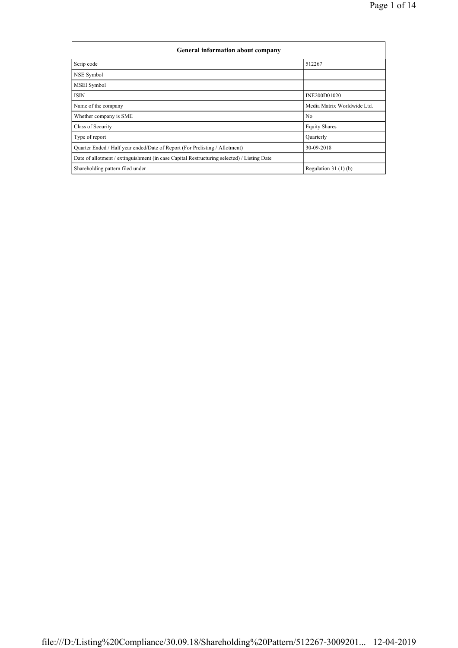| General information about company                                                          |                             |  |  |  |
|--------------------------------------------------------------------------------------------|-----------------------------|--|--|--|
| Scrip code                                                                                 | 512267                      |  |  |  |
| NSE Symbol                                                                                 |                             |  |  |  |
| <b>MSEI</b> Symbol                                                                         |                             |  |  |  |
| <b>ISIN</b>                                                                                | INE200D01020                |  |  |  |
| Name of the company                                                                        | Media Matrix Worldwide Ltd. |  |  |  |
| Whether company is SME                                                                     | N <sub>0</sub>              |  |  |  |
| Class of Security                                                                          | <b>Equity Shares</b>        |  |  |  |
| Type of report                                                                             | Quarterly                   |  |  |  |
| Quarter Ended / Half year ended/Date of Report (For Prelisting / Allotment)                | 30-09-2018                  |  |  |  |
| Date of allotment / extinguishment (in case Capital Restructuring selected) / Listing Date |                             |  |  |  |
| Shareholding pattern filed under                                                           | Regulation $31(1)(b)$       |  |  |  |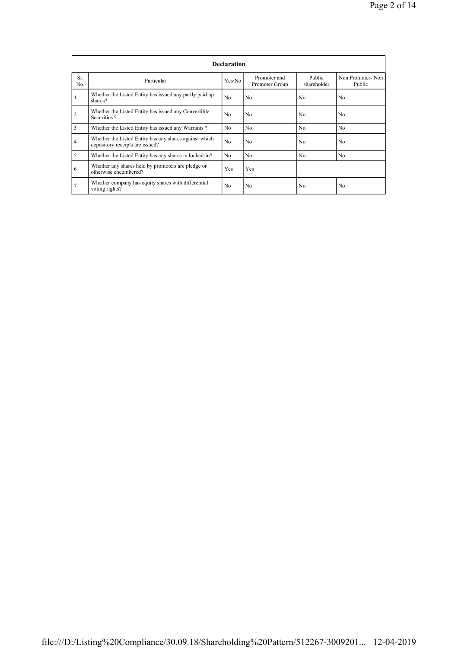|                |                                                                                           | <b>Declaration</b> |                                |                       |                            |
|----------------|-------------------------------------------------------------------------------------------|--------------------|--------------------------------|-----------------------|----------------------------|
| Sr.<br>No.     | Particular                                                                                | Yes/No             | Promoter and<br>Promoter Group | Public<br>shareholder | Non Promoter-Non<br>Public |
| $\mathbf{1}$   | Whether the Listed Entity has issued any partly paid up<br>shares?                        | N <sub>0</sub>     | N <sub>0</sub>                 | N <sub>0</sub>        | N <sub>0</sub>             |
| $\overline{2}$ | Whether the Listed Entity has issued any Convertible<br>Securities?                       | N <sub>0</sub>     | N <sub>0</sub>                 | No.                   | No                         |
| 3              | Whether the Listed Entity has issued any Warrants?                                        | N <sub>0</sub>     | N <sub>0</sub>                 | N <sub>0</sub>        | N <sub>0</sub>             |
| $\overline{4}$ | Whether the Listed Entity has any shares against which<br>depository receipts are issued? | N <sub>0</sub>     | N <sub>0</sub>                 | N <sub>0</sub>        | N <sub>0</sub>             |
| 5              | Whether the Listed Entity has any shares in locked-in?                                    | N <sub>0</sub>     | N <sub>0</sub>                 | No.                   | N <sub>0</sub>             |
| 6              | Whether any shares held by promoters are pledge or<br>otherwise encumbered?               | Yes                | Yes                            |                       |                            |
| $\overline{7}$ | Whether company has equity shares with differential<br>voting rights?                     | No                 | N <sub>0</sub>                 | N <sub>0</sub>        | N <sub>0</sub>             |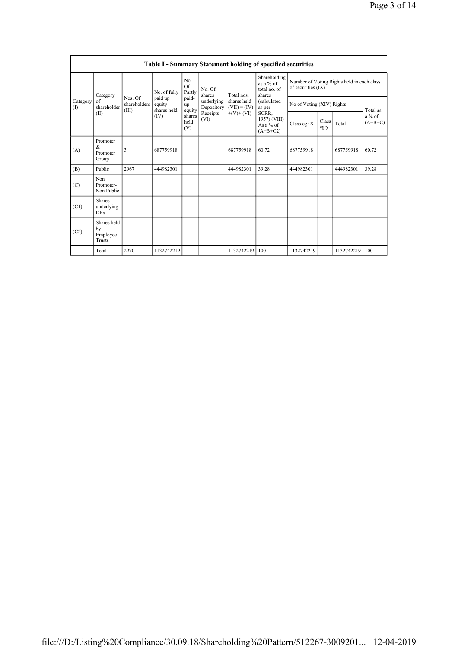|                 |                                           |                                  |                                  |                       |                          |                               | <b>Table I - Summary Statement holding of specified securities</b> |                    |                           |                                            |                       |
|-----------------|-------------------------------------------|----------------------------------|----------------------------------|-----------------------|--------------------------|-------------------------------|--------------------------------------------------------------------|--------------------|---------------------------|--------------------------------------------|-----------------------|
|                 | Category                                  |                                  | No. of fully                     | No.<br>Of<br>Partly   | No. Of<br>shares         | Total nos                     | Shareholding<br>as a $%$ of<br>total no. of<br>shares              | of securities (IX) |                           | Number of Voting Rights held in each class |                       |
| Category<br>(1) | of<br>shareholder                         | Nos. Of<br>shareholders<br>(III) | paid up<br>equity<br>shares held | paid-<br>up<br>equity | underlying<br>Depository | shares held<br>$(VII) = (IV)$ | <i>(calculated)</i><br>as per                                      |                    | No of Voting (XIV) Rights |                                            | Total as              |
|                 | (II)                                      |                                  | (IV)                             | shares<br>held<br>(V) | Receipts<br>(VI)         | $+(V)+(VI)$                   | SCRR,<br>1957) (VIII)<br>As a $%$ of<br>$(A+B+C2)$                 | Class eg: X        | Class<br>eg:y             | Total                                      | $a\%$ of<br>$(A+B+C)$ |
| (A)             | Promoter<br>&<br>Promoter<br>Group        | $\overline{\mathbf{3}}$          | 687759918                        |                       |                          | 687759918                     | 60.72                                                              | 687759918          |                           | 687759918                                  | 60.72                 |
| (B)             | Public                                    | 2967                             | 444982301                        |                       |                          | 444982301                     | 39.28                                                              | 444982301          |                           | 444982301                                  | 39.28                 |
| (C)             | Non<br>Promoter-<br>Non Public            |                                  |                                  |                       |                          |                               |                                                                    |                    |                           |                                            |                       |
| (C1)            | <b>Shares</b><br>underlying<br><b>DRs</b> |                                  |                                  |                       |                          |                               |                                                                    |                    |                           |                                            |                       |
| (C2)            | Shares held<br>by<br>Employee<br>Trusts   |                                  |                                  |                       |                          |                               |                                                                    |                    |                           |                                            |                       |
|                 | Total                                     | 2970                             | 1132742219                       |                       |                          | 1132742219                    | 100                                                                | 1132742219         |                           | 1132742219                                 | 100                   |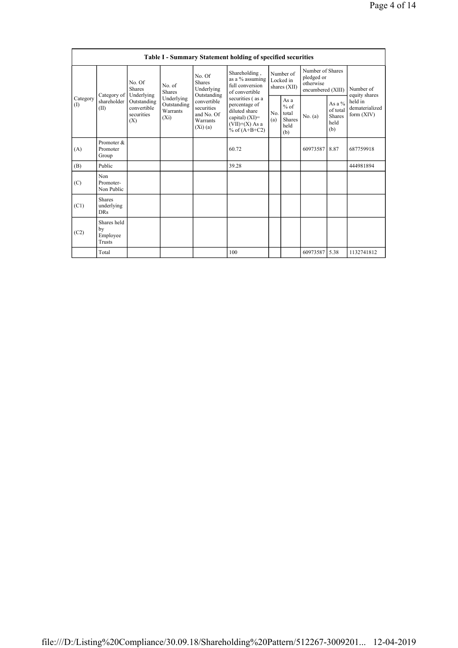|                 | <b>Table I - Summary Statement holding of specified securities</b>                                                                                                                                         |                                                                                                               |                         |                                                      |                                                                       |                                                       |                                           |                                                                  |      |                            |
|-----------------|------------------------------------------------------------------------------------------------------------------------------------------------------------------------------------------------------------|---------------------------------------------------------------------------------------------------------------|-------------------------|------------------------------------------------------|-----------------------------------------------------------------------|-------------------------------------------------------|-------------------------------------------|------------------------------------------------------------------|------|----------------------------|
|                 | Category of                                                                                                                                                                                                | No. Of<br><b>Shares</b><br>Underlying                                                                         | No. of<br><b>Shares</b> | No. Of<br><b>Shares</b><br>Underlying<br>Outstanding | Shareholding,<br>as a % assuming<br>full conversion<br>of convertible |                                                       | Number of<br>Locked in<br>shares (XII)    | Number of Shares<br>pledged or<br>otherwise<br>encumbered (XIII) |      | Number of<br>equity shares |
| Category<br>(I) | Underlying<br>shareholder<br>convertible<br>Outstanding<br>Outstanding<br>convertible<br>securities<br>(II)<br>Warrants<br>securities<br>and No. Of<br>$(X_i)$<br>Warrants<br>(X)<br>(Xi)(a)<br>Promoter & | securities (as a<br>percentage of<br>diluted share<br>capital) $(XI)=$<br>$(VII)+(X)$ As a<br>% of $(A+B+C2)$ | No.<br>(a)              | As a<br>$%$ of<br>total<br>Shares<br>held<br>(b)     | No. $(a)$                                                             | As a $\%$<br>of total<br><b>Shares</b><br>held<br>(b) | held in<br>dematerialized<br>form $(XIV)$ |                                                                  |      |                            |
| (A)             | Promoter<br>Group                                                                                                                                                                                          |                                                                                                               |                         |                                                      | 60.72                                                                 |                                                       |                                           | 60973587                                                         | 8.87 | 687759918                  |
| (B)             | Public                                                                                                                                                                                                     |                                                                                                               |                         |                                                      | 39.28                                                                 |                                                       |                                           |                                                                  |      | 444981894                  |
| (C)             | Non<br>Promoter-<br>Non Public                                                                                                                                                                             |                                                                                                               |                         |                                                      |                                                                       |                                                       |                                           |                                                                  |      |                            |
| (C1)            | <b>Shares</b><br>underlying<br><b>DRs</b>                                                                                                                                                                  |                                                                                                               |                         |                                                      |                                                                       |                                                       |                                           |                                                                  |      |                            |
| (C2)            | Shares held<br>by<br>Employee<br>Trusts                                                                                                                                                                    |                                                                                                               |                         |                                                      |                                                                       |                                                       |                                           |                                                                  |      |                            |
|                 | Total                                                                                                                                                                                                      |                                                                                                               |                         |                                                      | 100                                                                   |                                                       |                                           | 60973587                                                         | 5.38 | 1132741812                 |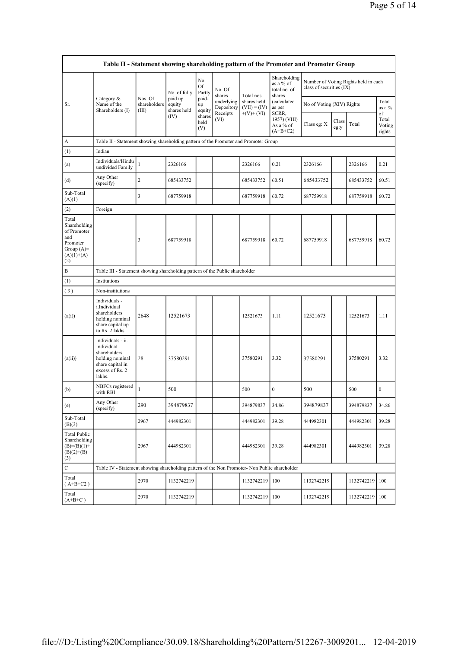|                                                                                                | Table II - Statement showing shareholding pattern of the Promoter and Promoter Group                                |                                  |                                  |                            |                          |                               |                                                     |                          |               |                                      |                                 |  |
|------------------------------------------------------------------------------------------------|---------------------------------------------------------------------------------------------------------------------|----------------------------------|----------------------------------|----------------------------|--------------------------|-------------------------------|-----------------------------------------------------|--------------------------|---------------|--------------------------------------|---------------------------------|--|
|                                                                                                |                                                                                                                     |                                  | No. of fully                     | No.<br><b>Of</b><br>Partly | No. Of<br>shares         | Total nos.                    | Shareholding<br>as a % of<br>total no. of<br>shares | class of securities (IX) |               | Number of Voting Rights held in each |                                 |  |
| Sr.                                                                                            | Category $\&$<br>Name of the<br>Shareholders (I)                                                                    | Nos. Of<br>shareholders<br>(III) | paid up<br>equity<br>shares held | paid-<br>up<br>equity      | underlying<br>Depository | shares held<br>$(VII) = (IV)$ | as per                                              | (calculated              |               | No of Voting (XIV) Rights            |                                 |  |
|                                                                                                |                                                                                                                     |                                  | (IV)                             | shares<br>held<br>(V)      | Receipts<br>(VI)         | $+(V)+(VI)$                   | SCRR,<br>1957) (VIII)<br>As a % of<br>$(A+B+C2)$    | Class eg: X              | Class<br>eg:y | Total                                | of<br>Total<br>Voting<br>rights |  |
| A                                                                                              | Table II - Statement showing shareholding pattern of the Promoter and Promoter Group                                |                                  |                                  |                            |                          |                               |                                                     |                          |               |                                      |                                 |  |
| (1)                                                                                            | Indian                                                                                                              |                                  |                                  |                            |                          |                               |                                                     |                          |               |                                      |                                 |  |
| (a)                                                                                            | Individuals/Hindu<br>undivided Family                                                                               | $\mathbf{1}$                     | 2326166                          |                            |                          | 2326166                       | 0.21                                                | 2326166                  |               | 2326166                              | 0.21                            |  |
| (d)                                                                                            | Any Other<br>(specify)                                                                                              | $\overline{\mathbf{c}}$          | 685433752                        |                            |                          | 685433752                     | 60.51                                               | 685433752                |               | 685433752                            | 60.51                           |  |
| Sub-Total<br>(A)(1)                                                                            |                                                                                                                     | 3                                | 687759918                        |                            |                          | 687759918                     | 60.72                                               | 687759918                |               | 687759918                            | 60.72                           |  |
| (2)                                                                                            | Foreign                                                                                                             |                                  |                                  |                            |                          |                               |                                                     |                          |               |                                      |                                 |  |
| Total<br>Shareholding<br>of Promoter<br>and<br>Promoter<br>Group $(A)=$<br>$(A)(1)+(A)$<br>(2) |                                                                                                                     | 3                                | 687759918                        |                            |                          | 687759918                     | 60.72                                               | 687759918                |               | 687759918                            | 60.72                           |  |
| B                                                                                              | Table III - Statement showing shareholding pattern of the Public shareholder                                        |                                  |                                  |                            |                          |                               |                                                     |                          |               |                                      |                                 |  |
| (1)                                                                                            | Institutions                                                                                                        |                                  |                                  |                            |                          |                               |                                                     |                          |               |                                      |                                 |  |
| (3)                                                                                            | Non-institutions                                                                                                    |                                  |                                  |                            |                          |                               |                                                     |                          |               |                                      |                                 |  |
| (a(i))                                                                                         | Individuals -<br>i.Individual<br>shareholders<br>holding nominal<br>share capital up<br>to Rs. 2 lakhs.             | 2648                             | 12521673                         |                            |                          | 12521673                      | 1.11                                                | 12521673                 |               | 12521673                             | 1.11                            |  |
| (a(ii))                                                                                        | Individuals - ii.<br>Individual<br>shareholders<br>holding nominal<br>share capital in<br>excess of Rs. 2<br>lakhs. | 28                               | 37580291                         |                            |                          | 37580291                      | 3.32                                                | 37580291                 |               | 37580291                             | 3.32                            |  |
| (b)                                                                                            | NBFCs registered<br>with RBI                                                                                        | $\mathbf{1}$                     | 500                              |                            |                          | 500                           | $\boldsymbol{0}$                                    | 500                      |               | 500                                  | $\boldsymbol{0}$                |  |
| (e)                                                                                            | Any Other<br>(specify)                                                                                              | 290                              | 394879837                        |                            |                          | 394879837                     | 34.86                                               | 394879837                |               | 394879837                            | 34.86                           |  |
| Sub-Total<br>(B)(3)                                                                            |                                                                                                                     | 2967                             | 444982301                        |                            |                          | 444982301                     | 39.28                                               | 444982301                |               | 444982301                            | 39.28                           |  |
| <b>Total Public</b><br>Shareholding<br>$(B)=(B)(1)+$<br>$(B)(2)+(B)$<br>(3)                    |                                                                                                                     | 2967                             | 444982301                        |                            |                          | 444982301                     | 39.28                                               | 444982301                |               | 444982301                            | 39.28                           |  |
| $\mathbf C$                                                                                    | Table IV - Statement showing shareholding pattern of the Non Promoter- Non Public shareholder                       |                                  |                                  |                            |                          |                               |                                                     |                          |               |                                      |                                 |  |
| Total<br>$(A+B+C2)$                                                                            |                                                                                                                     | 2970                             | 1132742219                       |                            |                          | 1132742219                    | 100                                                 | 1132742219               |               | 1132742219                           | 100                             |  |
| Total<br>$(A+B+C)$                                                                             |                                                                                                                     | 2970                             | 1132742219                       |                            |                          | 1132742219                    | 100                                                 | 1132742219               |               | 1132742219                           | 100                             |  |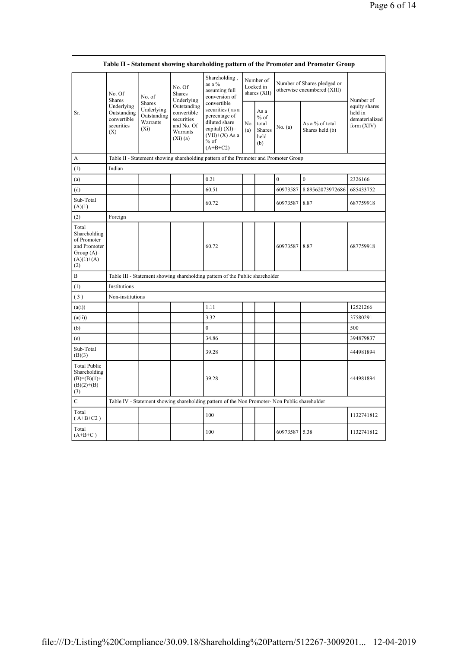|                                                                                             |                                                               |                                                                   |                                                                               |                                                                                                                     |                                        |                                                  |                                                            | Table II - Statement showing shareholding pattern of the Promoter and Promoter Group |                                                            |
|---------------------------------------------------------------------------------------------|---------------------------------------------------------------|-------------------------------------------------------------------|-------------------------------------------------------------------------------|---------------------------------------------------------------------------------------------------------------------|----------------------------------------|--------------------------------------------------|------------------------------------------------------------|--------------------------------------------------------------------------------------|------------------------------------------------------------|
|                                                                                             | No. Of<br><b>Shares</b>                                       | No. of                                                            | No. Of<br><b>Shares</b><br>Underlying                                         | Shareholding,<br>as a %<br>assuming full<br>conversion of<br>convertible                                            | Number of<br>Locked in<br>shares (XII) |                                                  | Number of Shares pledged or<br>otherwise encumbered (XIII) | Number of                                                                            |                                                            |
| Sr.                                                                                         | Underlying<br>Outstanding<br>convertible<br>securities<br>(X) | <b>Shares</b><br>Underlying<br>Outstanding<br>Warrants<br>$(X_i)$ | Outstanding<br>convertible<br>securities<br>and No. Of<br>Warrants<br>(Xi)(a) | securities (as a<br>percentage of<br>diluted share<br>capital) $(XI)$ =<br>$(VII)+(X)$ As a<br>$%$ of<br>$(A+B+C2)$ | No.<br>(a)                             | As a<br>$%$ of<br>total<br>Shares<br>held<br>(b) | No. (a)                                                    | As a % of total<br>Shares held (b)                                                   | equity shares<br>held in<br>dematerialized<br>form $(XIV)$ |
| A                                                                                           |                                                               |                                                                   |                                                                               | Table II - Statement showing shareholding pattern of the Promoter and Promoter Group                                |                                        |                                                  |                                                            |                                                                                      |                                                            |
| (1)                                                                                         | Indian                                                        |                                                                   |                                                                               |                                                                                                                     |                                        |                                                  |                                                            |                                                                                      |                                                            |
| (a)                                                                                         |                                                               |                                                                   |                                                                               | 0.21                                                                                                                |                                        |                                                  | $\mathbf{0}$                                               | $\mathbf{0}$                                                                         | 2326166                                                    |
| (d)                                                                                         |                                                               |                                                                   |                                                                               | 60.51                                                                                                               |                                        |                                                  | 60973587                                                   | 8.89562073972686                                                                     | 685433752                                                  |
| Sub-Total<br>(A)(1)                                                                         |                                                               |                                                                   |                                                                               | 60.72                                                                                                               |                                        |                                                  | 60973587                                                   | 8.87                                                                                 | 687759918                                                  |
| (2)                                                                                         | Foreign                                                       |                                                                   |                                                                               |                                                                                                                     |                                        |                                                  |                                                            |                                                                                      |                                                            |
| Total<br>Shareholding<br>of Promoter<br>and Promoter<br>Group $(A)=$<br>$(A)(1)+(A)$<br>(2) |                                                               |                                                                   |                                                                               | 60.72                                                                                                               |                                        |                                                  | 60973587                                                   | 8.87                                                                                 | 687759918                                                  |
| B                                                                                           |                                                               |                                                                   |                                                                               | Table III - Statement showing shareholding pattern of the Public shareholder                                        |                                        |                                                  |                                                            |                                                                                      |                                                            |
| (1)                                                                                         | Institutions                                                  |                                                                   |                                                                               |                                                                                                                     |                                        |                                                  |                                                            |                                                                                      |                                                            |
| (3)                                                                                         | Non-institutions                                              |                                                                   |                                                                               |                                                                                                                     |                                        |                                                  |                                                            |                                                                                      |                                                            |
| (a(i))                                                                                      |                                                               |                                                                   |                                                                               | 1.11                                                                                                                |                                        |                                                  |                                                            |                                                                                      | 12521266                                                   |
| (a(ii))                                                                                     |                                                               |                                                                   |                                                                               | 3.32                                                                                                                |                                        |                                                  |                                                            |                                                                                      | 37580291                                                   |
| (b)                                                                                         |                                                               |                                                                   |                                                                               | $\mathbf{0}$                                                                                                        |                                        |                                                  |                                                            |                                                                                      | 500                                                        |
| (e)                                                                                         |                                                               |                                                                   |                                                                               | 34.86                                                                                                               |                                        |                                                  |                                                            |                                                                                      | 394879837                                                  |
| Sub-Total<br>(B)(3)                                                                         |                                                               |                                                                   |                                                                               | 39.28                                                                                                               |                                        |                                                  |                                                            |                                                                                      | 444981894                                                  |
| <b>Total Public</b><br>Shareholding<br>$(B)= (B)(1) +$<br>$(B)(2)+(B)$<br>(3)               |                                                               |                                                                   |                                                                               | 39.28                                                                                                               |                                        |                                                  |                                                            |                                                                                      | 444981894                                                  |
| $\mathbf C$                                                                                 |                                                               |                                                                   |                                                                               | Table IV - Statement showing shareholding pattern of the Non Promoter- Non Public shareholder                       |                                        |                                                  |                                                            |                                                                                      |                                                            |
| Total<br>$(A+B+C2)$                                                                         |                                                               |                                                                   |                                                                               | 100                                                                                                                 |                                        |                                                  |                                                            |                                                                                      | 1132741812                                                 |
| Total<br>$(A+B+C)$                                                                          |                                                               |                                                                   |                                                                               | 100                                                                                                                 |                                        |                                                  | 60973587                                                   | 5.38                                                                                 | 1132741812                                                 |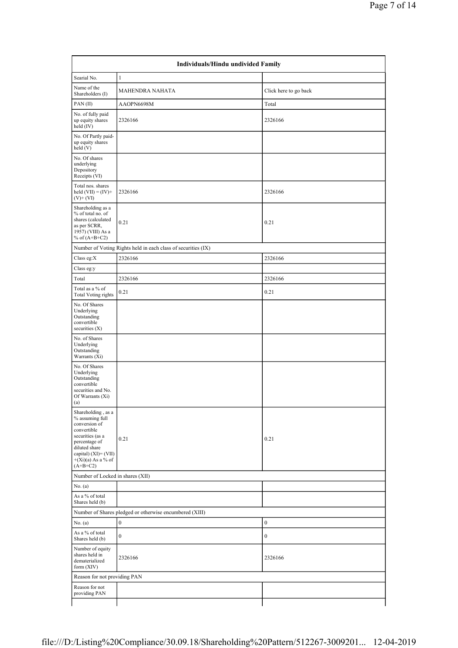|                                                                                                                                                                                              | Individuals/Hindu undivided Family                            |                       |
|----------------------------------------------------------------------------------------------------------------------------------------------------------------------------------------------|---------------------------------------------------------------|-----------------------|
| Searial No.                                                                                                                                                                                  | 1                                                             |                       |
| Name of the<br>Shareholders (I)                                                                                                                                                              | MAHENDRA NAHATA                                               | Click here to go back |
| PAN(II)                                                                                                                                                                                      | AAOPN6698M                                                    | Total                 |
| No. of fully paid<br>up equity shares<br>held (IV)                                                                                                                                           | 2326166                                                       | 2326166               |
| No. Of Partly paid-<br>up equity shares<br>held(V)                                                                                                                                           |                                                               |                       |
| No. Of shares<br>underlying<br>Depository<br>Receipts (VI)                                                                                                                                   |                                                               |                       |
| Total nos. shares<br>held $(VII) = (IV) +$<br>$(V)$ + $(VI)$                                                                                                                                 | 2326166                                                       | 2326166               |
| Shareholding as a<br>% of total no. of<br>shares (calculated<br>as per SCRR,<br>1957) (VIII) As a<br>% of $(A+B+C2)$                                                                         | 0.21                                                          | 0.21                  |
|                                                                                                                                                                                              | Number of Voting Rights held in each class of securities (IX) |                       |
| Class eg: $X$                                                                                                                                                                                | 2326166                                                       | 2326166               |
| Class eg:y                                                                                                                                                                                   |                                                               |                       |
| Total                                                                                                                                                                                        | 2326166                                                       | 2326166               |
| Total as a % of<br><b>Total Voting rights</b>                                                                                                                                                | 0.21                                                          | 0.21                  |
| No. Of Shares<br>Underlying<br>Outstanding<br>convertible<br>securities $(X)$                                                                                                                |                                                               |                       |
| No. of Shares<br>Underlying<br>Outstanding<br>Warrants (Xi)                                                                                                                                  |                                                               |                       |
| No. Of Shares<br>Underlying<br>Outstanding<br>convertible<br>securities and No.<br>Of Warrants (Xi)<br>(a)                                                                                   |                                                               |                       |
| Shareholding, as a<br>% assuming full<br>conversion of<br>convertible<br>securities (as a<br>percentage of<br>diluted share<br>capital) $(XI) = (VII)$<br>$+(Xi)(a)$ As a % of<br>$(A+B+C2)$ | 0.21                                                          | 0.21                  |
| Number of Locked in shares (XII)                                                                                                                                                             |                                                               |                       |
| No. (a)                                                                                                                                                                                      |                                                               |                       |
| As a % of total<br>Shares held (b)                                                                                                                                                           |                                                               |                       |
|                                                                                                                                                                                              | Number of Shares pledged or otherwise encumbered (XIII)       |                       |
| No. (a)                                                                                                                                                                                      | $\boldsymbol{0}$                                              | $\boldsymbol{0}$      |
| As a % of total<br>Shares held (b)                                                                                                                                                           | $\boldsymbol{0}$                                              | $\boldsymbol{0}$      |
| Number of equity<br>shares held in<br>dematerialized<br>form (XIV)                                                                                                                           | 2326166                                                       | 2326166               |
| Reason for not providing PAN                                                                                                                                                                 |                                                               |                       |
| Reason for not<br>providing PAN                                                                                                                                                              |                                                               |                       |
|                                                                                                                                                                                              |                                                               |                       |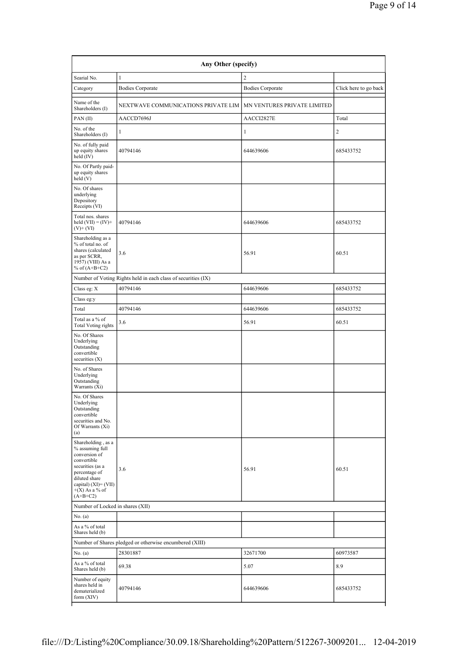| Searial No.                                                                                                                                                                              | $\mathbf{1}$                                                  | $\sqrt{2}$                  |                       |
|------------------------------------------------------------------------------------------------------------------------------------------------------------------------------------------|---------------------------------------------------------------|-----------------------------|-----------------------|
| Category                                                                                                                                                                                 | <b>Bodies Corporate</b>                                       | <b>Bodies Corporate</b>     | Click here to go back |
| Name of the<br>Shareholders (I)                                                                                                                                                          | NEXTWAVE COMMUNICATIONS PRIVATE LIM                           | MN VENTURES PRIVATE LIMITED |                       |
| PAN(II)                                                                                                                                                                                  | AACCD7696J                                                    | AACCI2827E                  | Total                 |
| No. of the<br>Shareholders (I)                                                                                                                                                           | $\mathbf{1}$                                                  | $\mathbf{1}$                | $\overline{c}$        |
| No. of fully paid<br>up equity shares<br>held (IV)                                                                                                                                       | 40794146                                                      | 644639606                   | 685433752             |
| No. Of Partly paid-<br>up equity shares<br>held(V)                                                                                                                                       |                                                               |                             |                       |
| No. Of shares<br>underlying<br>Depository<br>Receipts (VI)                                                                                                                               |                                                               |                             |                       |
| Total nos. shares<br>held $(VII) = (IV) +$<br>$(V)$ + $(VI)$                                                                                                                             | 40794146                                                      | 644639606                   | 685433752             |
| Shareholding as a<br>% of total no. of<br>shares (calculated<br>as per SCRR.<br>1957) (VIII) As a<br>% of $(A+B+C2)$                                                                     | 3.6                                                           | 56.91                       | 60.51                 |
|                                                                                                                                                                                          | Number of Voting Rights held in each class of securities (IX) |                             |                       |
| Class eg: X                                                                                                                                                                              | 40794146                                                      | 644639606                   | 685433752             |
| Class eg:y                                                                                                                                                                               |                                                               |                             |                       |
| Total                                                                                                                                                                                    | 40794146                                                      | 644639606                   | 685433752             |
| Total as a % of<br><b>Total Voting rights</b>                                                                                                                                            | 3.6                                                           | 56.91                       | 60.51                 |
| No. Of Shares<br>Underlying<br>Outstanding<br>convertible<br>securities $(X)$<br>No. of Shares                                                                                           |                                                               |                             |                       |
| Underlying<br>Outstanding<br>Warrants (Xi)                                                                                                                                               |                                                               |                             |                       |
| No. Of Shares<br>Underlying<br>Outstanding<br>convertible<br>securities and No.<br>Of Warrants (Xi)<br>(a)                                                                               |                                                               |                             |                       |
| Shareholding, as a<br>% assuming full<br>conversion of<br>convertible<br>securities (as a<br>percentage of<br>diluted share<br>capital) $(XI) = (VII)$<br>$+(X)$ As a % of<br>$(A+B+C2)$ | 3.6                                                           | 56.91                       | 60.51                 |
| Number of Locked in shares (XII)                                                                                                                                                         |                                                               |                             |                       |
| No. (a)                                                                                                                                                                                  |                                                               |                             |                       |
| As a % of total<br>Shares held (b)                                                                                                                                                       |                                                               |                             |                       |
|                                                                                                                                                                                          | Number of Shares pledged or otherwise encumbered (XIII)       |                             |                       |
| No. $(a)$                                                                                                                                                                                | 28301887                                                      | 32671700                    | 60973587              |
| As a % of total<br>Shares held (b)                                                                                                                                                       | 69.38                                                         | 5.07                        | 8.9                   |
| Number of equity<br>shares held in<br>dematerialized<br>form $(XIV)$                                                                                                                     | 40794146                                                      | 644639606                   | 685433752             |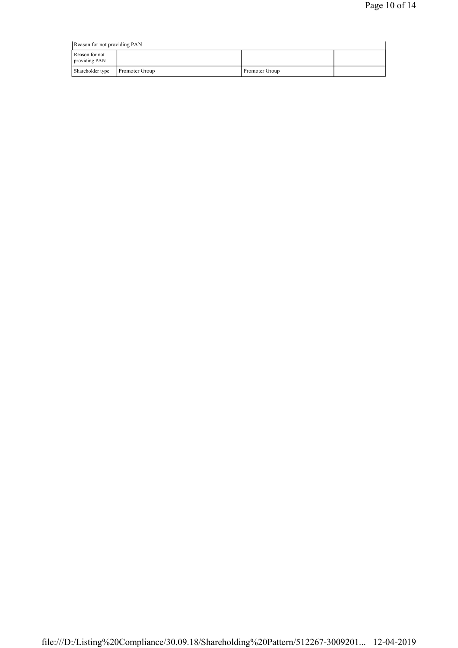|                                 | Reason for not providing PAN |                |  |  |  |  |
|---------------------------------|------------------------------|----------------|--|--|--|--|
| Reason for not<br>providing PAN |                              |                |  |  |  |  |
| Shareholder type                | <b>Promoter Group</b>        | Promoter Group |  |  |  |  |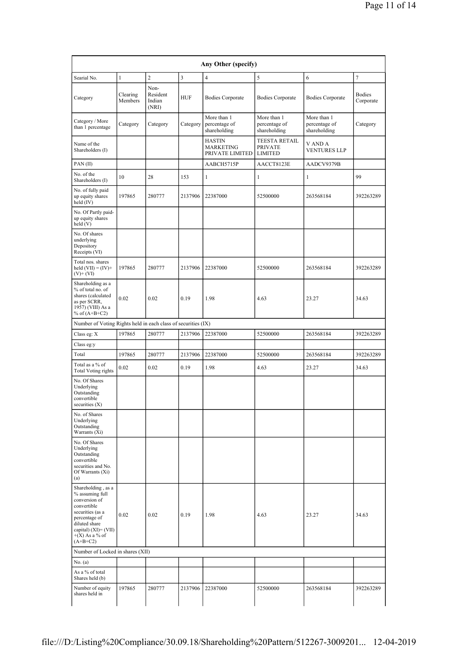| Searial No.                                                                                                                                                                              | $\mathbf{1}$        | $\overline{2}$                      | $\overline{3}$ | $\overline{4}$                                       | 5                                                 | 6                                            | $\overline{7}$             |
|------------------------------------------------------------------------------------------------------------------------------------------------------------------------------------------|---------------------|-------------------------------------|----------------|------------------------------------------------------|---------------------------------------------------|----------------------------------------------|----------------------------|
| Category                                                                                                                                                                                 | Clearing<br>Members | Non-<br>Resident<br>Indian<br>(NRI) | <b>HUF</b>     | <b>Bodies Corporate</b>                              | <b>Bodies Corporate</b>                           | <b>Bodies Corporate</b>                      | <b>Bodies</b><br>Corporate |
| Category / More<br>than 1 percentage                                                                                                                                                     | Category            | Category                            | Category       | More than 1<br>percentage of<br>shareholding         | More than 1<br>percentage of<br>shareholding      | More than 1<br>percentage of<br>shareholding | Category                   |
| Name of the<br>Shareholders (I)                                                                                                                                                          |                     |                                     |                | <b>HASTIN</b><br><b>MARKETING</b><br>PRIVATE LIMITED | TEESTA RETAIL<br><b>PRIVATE</b><br><b>LIMITED</b> | V AND A<br><b>VENTURES LLP</b>               |                            |
| PAN(II)                                                                                                                                                                                  |                     |                                     |                | AABCH5715P                                           | AACCT8123E                                        | AADCV9379B                                   |                            |
| No. of the<br>Shareholders (I)                                                                                                                                                           | 10                  | 28                                  | 153            | 1                                                    | 1                                                 | $\mathbf{1}$                                 | 99                         |
| No. of fully paid<br>up equity shares<br>held (IV)                                                                                                                                       | 197865              | 280777                              | 2137906        | 22387000                                             | 52500000                                          | 263568184                                    | 392263289                  |
| No. Of Partly paid-<br>up equity shares<br>held(V)                                                                                                                                       |                     |                                     |                |                                                      |                                                   |                                              |                            |
| No. Of shares<br>underlying<br>Depository<br>Receipts (VI)                                                                                                                               |                     |                                     |                |                                                      |                                                   |                                              |                            |
| Total nos. shares<br>held $(VII) = (IV) +$<br>$(V)$ + $(VI)$                                                                                                                             | 197865              | 280777                              | 2137906        | 22387000                                             | 52500000                                          | 263568184                                    | 392263289                  |
| Shareholding as a<br>% of total no. of<br>shares (calculated<br>as per SCRR,<br>1957) (VIII) As a<br>% of $(A+B+C2)$                                                                     | 0.02                | 0.02                                | 0.19           | 1.98                                                 | 4.63                                              | 23.27                                        | 34.63                      |
| Number of Voting Rights held in each class of securities (IX)                                                                                                                            |                     |                                     |                |                                                      |                                                   |                                              |                            |
| Class eg: X                                                                                                                                                                              | 197865              | 280777                              | 2137906        | 22387000                                             | 52500000                                          | 263568184                                    | 392263289                  |
| Class eg:y                                                                                                                                                                               |                     |                                     |                |                                                      |                                                   |                                              |                            |
| Total                                                                                                                                                                                    | 197865              | 280777                              | 2137906        | 22387000                                             | 52500000                                          | 263568184                                    | 392263289                  |
| Total as a % of<br><b>Total Voting rights</b>                                                                                                                                            | 0.02                | 0.02                                | 0.19           | 1.98                                                 | 4.63                                              | 23.27                                        | 34.63                      |
| No. Of Shares<br>Underlying<br>Outstanding<br>convertible<br>securities (X)                                                                                                              |                     |                                     |                |                                                      |                                                   |                                              |                            |
| No. of Shares<br>Underlying<br>Outstanding<br>Warrants (Xi)                                                                                                                              |                     |                                     |                |                                                      |                                                   |                                              |                            |
| No. Of Shares<br>Underlying<br>Outstanding<br>convertible<br>securities and No.<br>Of Warrants (Xi)<br>(a)                                                                               |                     |                                     |                |                                                      |                                                   |                                              |                            |
| Shareholding, as a<br>% assuming full<br>conversion of<br>convertible<br>securities (as a<br>percentage of<br>diluted share<br>capital) $(XI) = (VII)$<br>$+(X)$ As a % of<br>$(A+B+C2)$ | 0.02                | 0.02                                | 0.19           | 1.98                                                 | 4.63                                              | 23.27                                        | 34.63                      |
| Number of Locked in shares (XII)                                                                                                                                                         |                     |                                     |                |                                                      |                                                   |                                              |                            |
| No. (a)                                                                                                                                                                                  |                     |                                     |                |                                                      |                                                   |                                              |                            |
| As a % of total<br>Shares held (b)                                                                                                                                                       |                     |                                     |                |                                                      |                                                   |                                              |                            |
| Number of equity                                                                                                                                                                         | 197865              | 280777                              | 2137906        | 22387000                                             | 52500000                                          | 263568184                                    | 392263289                  |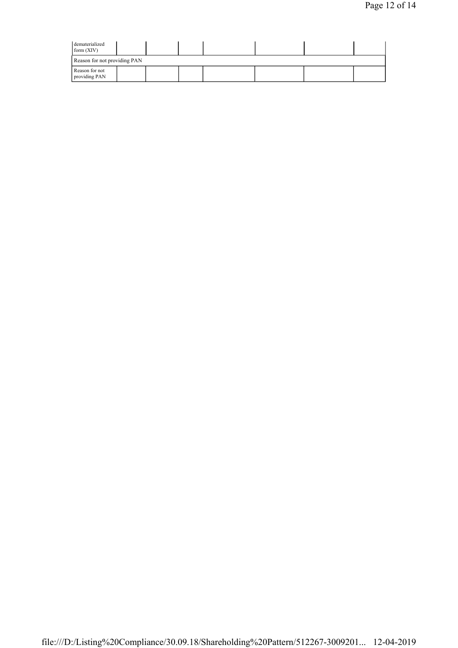| dematerialized<br>form $(XIV)$  |  |  |  |  |  |  |  |  |
|---------------------------------|--|--|--|--|--|--|--|--|
| Reason for not providing PAN    |  |  |  |  |  |  |  |  |
| Reason for not<br>providing PAN |  |  |  |  |  |  |  |  |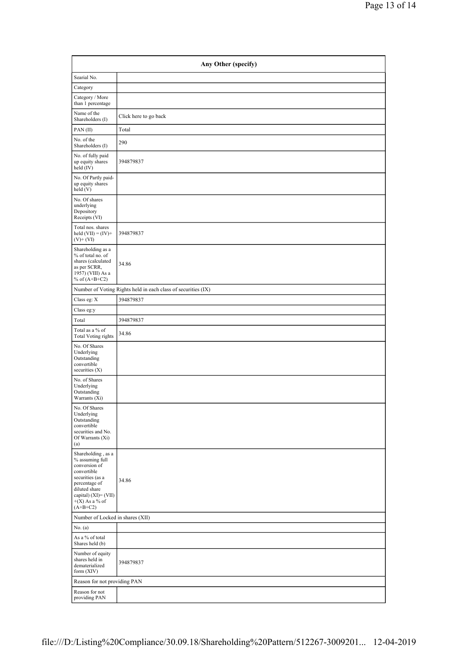| Any Other (specify)                                                                                                                                                                      |                       |  |  |  |  |  |
|------------------------------------------------------------------------------------------------------------------------------------------------------------------------------------------|-----------------------|--|--|--|--|--|
| Searial No.                                                                                                                                                                              |                       |  |  |  |  |  |
| Category                                                                                                                                                                                 |                       |  |  |  |  |  |
| Category / More<br>than 1 percentage                                                                                                                                                     |                       |  |  |  |  |  |
| Name of the<br>Shareholders (I)                                                                                                                                                          | Click here to go back |  |  |  |  |  |
| PAN(II)                                                                                                                                                                                  | Total                 |  |  |  |  |  |
| No. of the<br>Shareholders (I)                                                                                                                                                           | 290                   |  |  |  |  |  |
| No. of fully paid<br>up equity shares<br>held (IV)                                                                                                                                       | 394879837             |  |  |  |  |  |
| No. Of Partly paid-<br>up equity shares<br>held(V)                                                                                                                                       |                       |  |  |  |  |  |
| No. Of shares<br>underlying<br>Depository<br>Receipts (VI)                                                                                                                               |                       |  |  |  |  |  |
| Total nos. shares<br>held $(VII) = (IV) +$<br>$(V)+(VI)$                                                                                                                                 | 394879837             |  |  |  |  |  |
| Shareholding as a<br>% of total no. of<br>shares (calculated<br>as per SCRR,<br>1957) (VIII) As a<br>% of $(A+B+C2)$                                                                     | 34.86                 |  |  |  |  |  |
| Number of Voting Rights held in each class of securities (IX)                                                                                                                            |                       |  |  |  |  |  |
| Class eg: X                                                                                                                                                                              | 394879837             |  |  |  |  |  |
| Class eg:y                                                                                                                                                                               |                       |  |  |  |  |  |
| Total                                                                                                                                                                                    | 394879837             |  |  |  |  |  |
| Total as a % of<br><b>Total Voting rights</b>                                                                                                                                            | 34.86                 |  |  |  |  |  |
| No. Of Shares<br>Underlying<br>Outstanding<br>convertible<br>securities $(X)$                                                                                                            |                       |  |  |  |  |  |
| No. of Shares<br>Underlying<br>Outstanding<br>Warrants (Xi)                                                                                                                              |                       |  |  |  |  |  |
| No. Of Shares<br>Underlying<br>Outstanding<br>convertible<br>securities and No.<br>Of Warrants (Xi)<br>(a)                                                                               |                       |  |  |  |  |  |
| Shareholding, as a<br>% assuming full<br>conversion of<br>convertible<br>securities (as a<br>percentage of<br>diluted share<br>capital) $(XI) = (VII)$<br>$+(X)$ As a % of<br>$(A+B+C2)$ | 34.86                 |  |  |  |  |  |
| Number of Locked in shares (XII)                                                                                                                                                         |                       |  |  |  |  |  |
| No. (a)                                                                                                                                                                                  |                       |  |  |  |  |  |
| As a % of total<br>Shares held (b)                                                                                                                                                       |                       |  |  |  |  |  |
| Number of equity<br>shares held in<br>dematerialized<br>form $(XIV)$                                                                                                                     | 394879837             |  |  |  |  |  |
| Reason for not providing PAN                                                                                                                                                             |                       |  |  |  |  |  |
| Reason for not<br>providing PAN                                                                                                                                                          |                       |  |  |  |  |  |